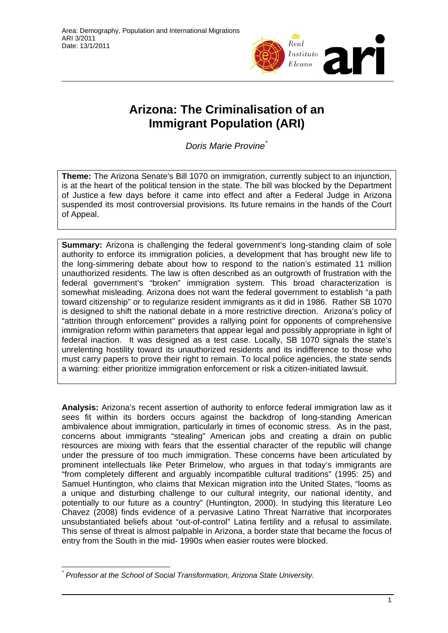

# **Arizona: The Criminalisation of an Immigrant Population (ARI)**

*Doris Marie Provine*[\\*](#page-0-0)

**Theme:** The Arizona Senate's Bill 1070 on immigration, currently subject to an injunction, is at the heart of the political tension in the state. The bill was blocked by the Department of Justice a few days before it came into effect and after a Federal Judge in Arizona suspended its most controversial provisions. Its future remains in the hands of the Court of Appeal.

**Summary:** Arizona is challenging the federal government's long-standing claim of sole authority to enforce its immigration policies, a development that has brought new life to the long-simmering debate about how to respond to the nation's estimated 11 million unauthorized residents. The law is often described as an outgrowth of frustration with the federal government's "broken" immigration system. This broad characterization is somewhat misleading. Arizona does not want the federal government to establish "a path toward citizenship" or to regularize resident immigrants as it did in 1986. Rather SB 1070 is designed to shift the national debate in a more restrictive direction. Arizona's policy of "attrition through enforcement" provides a rallying point for opponents of comprehensive immigration reform within parameters that appear legal and possibly appropriate in light of federal inaction. It was designed as a test case. Locally, SB 1070 signals the state's unrelenting hostility toward its unauthorized residents and its indifference to those who must carry papers to prove their right to remain. To local police agencies, the state sends a warning: either prioritize immigration enforcement or risk a citizen-initiated lawsuit.

**Analysis:** Arizona's recent assertion of authority to enforce federal immigration law as it sees fit within its borders occurs against the backdrop of long-standing American ambivalence about immigration, particularly in times of economic stress. As in the past, concerns about immigrants "stealing" American jobs and creating a drain on public resources are mixing with fears that the essential character of the republic will change under the pressure of too much immigration. These concerns have been articulated by prominent intellectuals like Peter Brimelow, who argues in that today's immigrants are "from completely different and arguably incompatible cultural traditions" (1995: 25) and Samuel Huntington, who claims that Mexican migration into the United States, "looms as a unique and disturbing challenge to our cultural integrity, our national identity, and potentially to our future as a country" (Huntington, 2000). In studying this literature Leo Chavez (2008) finds evidence of a pervasive Latino Threat Narrative that incorporates unsubstantiated beliefs about "out-of-control" Latina fertility and a refusal to assimilate. This sense of threat is almost palpable in Arizona, a border state that became the focus of entry from the South in the mid- 1990s when easier routes were blocked.

<span id="page-0-0"></span> $\overline{a}$ *\* Professor at the School of Social Transformation, Arizona State University.*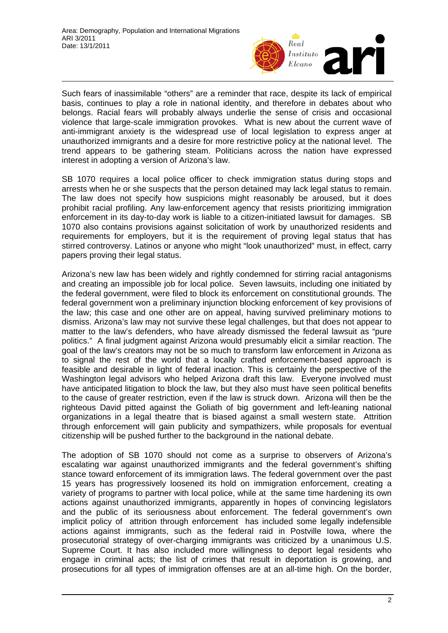

Such fears of inassimilable "others" are a reminder that race, despite its lack of empirical basis, continues to play a role in national identity, and therefore in debates about who belongs. Racial fears will probably always underlie the sense of crisis and occasional violence that large-scale immigration provokes. What is new about the current wave of anti-immigrant anxiety is the widespread use of local legislation to express anger at unauthorized immigrants and a desire for more restrictive policy at the national level. The trend appears to be gathering steam. Politicians across the nation have expressed interest in adopting a version of Arizona's law.

SB 1070 requires a local police officer to check immigration status during stops and arrests when he or she suspects that the person detained may lack legal status to remain. The law does not specify how suspicions might reasonably be aroused, but it does prohibit racial profiling. Any law-enforcement agency that resists prioritizing immigration enforcement in its day-to-day work is liable to a citizen-initiated lawsuit for damages. SB 1070 also contains provisions against solicitation of work by unauthorized residents and requirements for employers, but it is the requirement of proving legal status that has stirred controversy. Latinos or anyone who might "look unauthorized" must, in effect, carry papers proving their legal status.

Arizona's new law has been widely and rightly condemned for stirring racial antagonisms and creating an impossible job for local police. Seven lawsuits, including one initiated by the federal government, were filed to block its enforcement on constitutional grounds. The federal government won a preliminary injunction blocking enforcement of key provisions of the law; this case and one other are on appeal, having survived preliminary motions to dismiss. Arizona's law may not survive these legal challenges, but that does not appear to matter to the law's defenders, who have already dismissed the federal lawsuit as "pure politics." A final judgment against Arizona would presumably elicit a similar reaction. The goal of the law's creators may not be so much to transform law enforcement in Arizona as to signal the rest of the world that a locally crafted enforcement-based approach is feasible and desirable in light of federal inaction. This is certainly the perspective of the Washington legal advisors who helped Arizona draft this law. Everyone involved must have anticipated litigation to block the law, but they also must have seen political benefits to the cause of greater restriction, even if the law is struck down. Arizona will then be the righteous David pitted against the Goliath of big government and left-leaning national organizations in a legal theatre that is biased against a small western state. Attrition through enforcement will gain publicity and sympathizers, while proposals for eventual citizenship will be pushed further to the background in the national debate.

The adoption of SB 1070 should not come as a surprise to observers of Arizona's escalating war against unauthorized immigrants and the federal government's shifting stance toward enforcement of its immigration laws. The federal government over the past 15 years has progressively loosened its hold on immigration enforcement, creating a variety of programs to partner with local police, while at the same time hardening its own actions against unauthorized immigrants, apparently in hopes of convincing legislators and the public of its seriousness about enforcement. The federal government's own implicit policy of attrition through enforcement has included some legally indefensible actions against immigrants, such as the federal raid in Postville Iowa, where the prosecutorial strategy of over-charging immigrants was criticized by a unanimous U.S. Supreme Court. It has also included more willingness to deport legal residents who engage in criminal acts; the list of crimes that result in deportation is growing, and prosecutions for all types of immigration offenses are at an all-time high. On the border,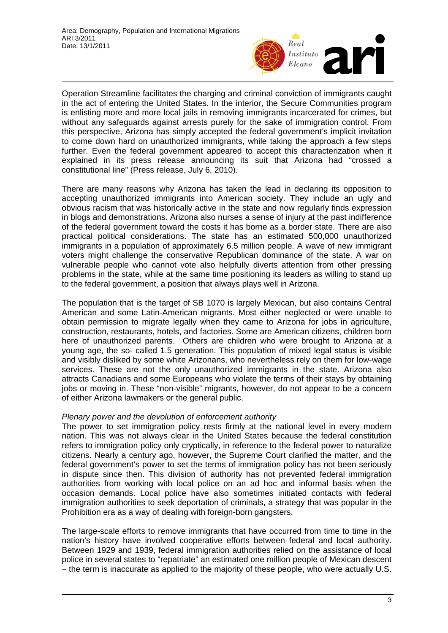

Operation Streamline facilitates the charging and criminal conviction of immigrants caught in the act of entering the United States. In the interior, the Secure Communities program is enlisting more and more local jails in removing immigrants incarcerated for crimes, but without any safeguards against arrests purely for the sake of immigration control. From this perspective, Arizona has simply accepted the federal government's implicit invitation to come down hard on unauthorized immigrants, while taking the approach a few steps further. Even the federal government appeared to accept this characterization when it explained in its press release announcing its suit that Arizona had "crossed a constitutional line" (Press release, July 6, 2010).

There are many reasons why Arizona has taken the lead in declaring its opposition to accepting unauthorized immigrants into American society. They include an ugly and obvious racism that was historically active in the state and now regularly finds expression in blogs and demonstrations. Arizona also nurses a sense of injury at the past indifference of the federal government toward the costs it has borne as a border state. There are also practical political considerations. The state has an estimated 500,000 unauthorized immigrants in a population of approximately 6.5 million people. A wave of new immigrant voters might challenge the conservative Republican dominance of the state. A war on vulnerable people who cannot vote also helpfully diverts attention from other pressing problems in the state, while at the same time positioning its leaders as willing to stand up to the federal government, a position that always plays well in Arizona.

The population that is the target of SB 1070 is largely Mexican, but also contains Central American and some Latin-American migrants. Most either neglected or were unable to obtain permission to migrate legally when they came to Arizona for jobs in agriculture, construction, restaurants, hotels, and factories. Some are American citizens, children born here of unauthorized parents. Others are children who were brought to Arizona at a young age, the so- called 1.5 generation. This population of mixed legal status is visible and visibly disliked by some white Arizonans, who nevertheless rely on them for low-wage services. These are not the only unauthorized immigrants in the state. Arizona also attracts Canadians and some Europeans who violate the terms of their stays by obtaining jobs or moving in. These "non-visible" migrants, however, do not appear to be a concern of either Arizona lawmakers or the general public.

### *Plenary power and the devolution of enforcement authority*

The power to set immigration policy rests firmly at the national level in every modern nation. This was not always clear in the United States because the federal constitution refers to immigration policy only cryptically, in reference to the federal power to naturalize citizens. Nearly a century ago, however, the Supreme Court clarified the matter, and the federal government's power to set the terms of immigration policy has not been seriously in dispute since then. This division of authority has not prevented federal immigration authorities from working with local police on an ad hoc and informal basis when the occasion demands. Local police have also sometimes initiated contacts with federal immigration authorities to seek deportation of criminals, a strategy that was popular in the Prohibition era as a way of dealing with foreign-born gangsters.

The large-scale efforts to remove immigrants that have occurred from time to time in the nation's history have involved cooperative efforts between federal and local authority. Between 1929 and 1939, federal immigration authorities relied on the assistance of local police in several states to "repatriate" an estimated one million people of Mexican descent – the term is inaccurate as applied to the majority of these people, who were actually U.S.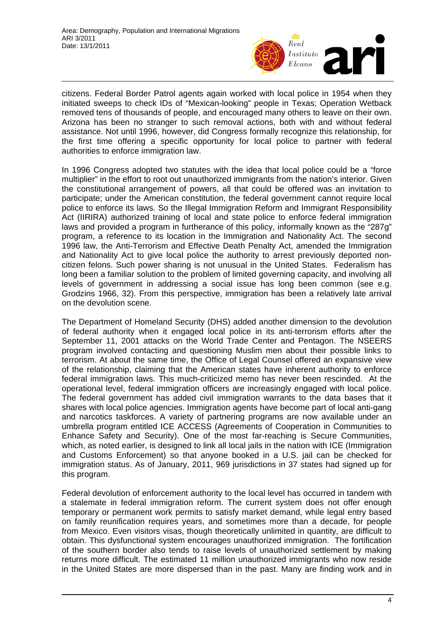

citizens. Federal Border Patrol agents again worked with local police in 1954 when they initiated sweeps to check IDs of "Mexican-looking" people in Texas; Operation Wetback removed tens of thousands of people, and encouraged many others to leave on their own. Arizona has been no stranger to such removal actions, both with and without federal assistance. Not until 1996, however, did Congress formally recognize this relationship, for the first time offering a specific opportunity for local police to partner with federal authorities to enforce immigration law.

In 1996 Congress adopted two statutes with the idea that local police could be a "force multiplier" in the effort to root out unauthorized immigrants from the nation's interior. Given the constitutional arrangement of powers, all that could be offered was an invitation to participate; under the American constitution, the federal government cannot require local police to enforce its laws. So the Illegal Immigration Reform and Immigrant Responsibility Act (IIRIRA) authorized training of local and state police to enforce federal immigration laws and provided a program in furtherance of this policy, informally known as the "287g" program, a reference to its location in the Immigration and Nationality Act. The second 1996 law, the Anti-Terrorism and Effective Death Penalty Act, amended the Immigration and Nationality Act to give local police the authority to arrest previously deported noncitizen felons. Such power sharing is not unusual in the United States. Federalism has long been a familiar solution to the problem of limited governing capacity, and involving all levels of government in addressing a social issue has long been common (see e.g. Grodzins 1966, 32). From this perspective, immigration has been a relatively late arrival on the devolution scene.

The Department of Homeland Security (DHS) added another dimension to the devolution of federal authority when it engaged local police in its anti-terrorism efforts after the September 11, 2001 attacks on the World Trade Center and Pentagon. The NSEERS program involved contacting and questioning Muslim men about their possible links to terrorism. At about the same time, the Office of Legal Counsel offered an expansive view of the relationship, claiming that the American states have inherent authority to enforce federal immigration laws. This much-criticized memo has never been rescinded. At the operational level, federal immigration officers are increasingly engaged with local police. The federal government has added civil immigration warrants to the data bases that it shares with local police agencies. Immigration agents have become part of local anti-gang and narcotics taskforces. A variety of partnering programs are now available under an umbrella program entitled ICE ACCESS (Agreements of Cooperation in Communities to Enhance Safety and Security). One of the most far-reaching is Secure Communities, which, as noted earlier, is designed to link all local jails in the nation with ICE (Immigration and Customs Enforcement) so that anyone booked in a U.S. jail can be checked for immigration status. As of January, 2011, 969 jurisdictions in 37 states had signed up for this program.

Federal devolution of enforcement authority to the local level has occurred in tandem with a stalemate in federal immigration reform. The current system does not offer enough temporary or permanent work permits to satisfy market demand, while legal entry based on family reunification requires years, and sometimes more than a decade, for people from Mexico. Even visitors visas, though theoretically unlimited in quantity, are difficult to obtain. This dysfunctional system encourages unauthorized immigration. The fortification of the southern border also tends to raise levels of unauthorized settlement by making returns more difficult. The estimated 11 million unauthorized immigrants who now reside in the United States are more dispersed than in the past. Many are finding work and in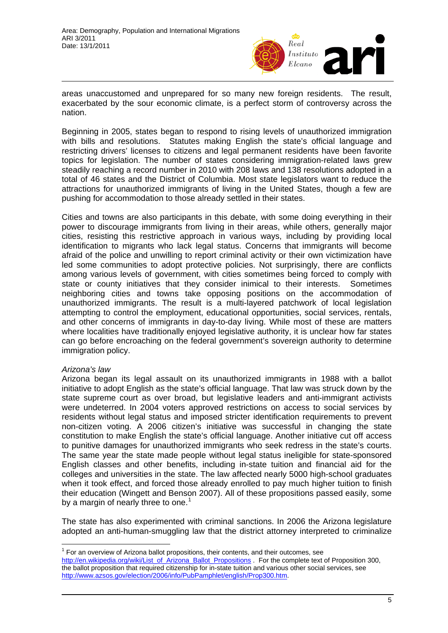

areas unaccustomed and unprepared for so many new foreign residents. The result, exacerbated by the sour economic climate, is a perfect storm of controversy across the nation.

Beginning in 2005, states began to respond to rising levels of unauthorized immigration with bills and resolutions. Statutes making English the state's official language and restricting drivers' licenses to citizens and legal permanent residents have been favorite topics for legislation. The number of states considering immigration-related laws grew steadily reaching a record number in 2010 with 208 laws and 138 resolutions adopted in a total of 46 states and the District of Columbia. Most state legislators want to reduce the attractions for unauthorized immigrants of living in the United States, though a few are pushing for accommodation to those already settled in their states.

Cities and towns are also participants in this debate, with some doing everything in their power to discourage immigrants from living in their areas, while others, generally major cities, resisting this restrictive approach in various ways, including by providing local identification to migrants who lack legal status. Concerns that immigrants will become afraid of the police and unwilling to report criminal activity or their own victimization have led some communities to adopt protective policies. Not surprisingly, there are conflicts among various levels of government, with cities sometimes being forced to comply with state or county initiatives that they consider inimical to their interests. Sometimes neighboring cities and towns take opposing positions on the accommodation of unauthorized immigrants. The result is a multi-layered patchwork of local legislation attempting to control the employment, educational opportunities, social services, rentals, and other concerns of immigrants in day-to-day living. While most of these are matters where localities have traditionally enjoyed legislative authority, it is unclear how far states can go before encroaching on the federal government's sovereign authority to determine immigration policy.

### *Arizona's law*

Arizona began its legal assault on its unauthorized immigrants in 1988 with a ballot initiative to adopt English as the state's official language. That law was struck down by the state supreme court as over broad, but legislative leaders and anti-immigrant activists were undeterred. In 2004 voters approved restrictions on access to social services by residents without legal status and imposed stricter identification requirements to prevent non-citizen voting. A 2006 citizen's initiative was successful in changing the state constitution to make English the state's official language. Another initiative cut off access to punitive damages for unauthorized immigrants who seek redress in the state's courts. The same year the state made people without legal status ineligible for state-sponsored English classes and other benefits, including in-state tuition and financial aid for the colleges and universities in the state. The law affected nearly 5000 high-school graduates when it took effect, and forced those already enrolled to pay much higher tuition to finish their education (Wingett and Benson 2007). All of these propositions passed easily, some by a margin of nearly three to one.<sup>[1](#page-4-0)</sup>

The state has also experimented with criminal sanctions. In 2006 the Arizona legislature adopted an anti-human-smuggling law that the district attorney interpreted to criminalize

<span id="page-4-0"></span> $\overline{1}$  $1$  For an overview of Arizona ballot propositions, their contents, and their outcomes, see [http://en.wikipedia.org/wiki/List\\_of\\_Arizona\\_Ballot\\_Propositions](http://en.wikipedia.org/wiki/List_of_Arizona_Ballot_Propositions) . For the complete text of Proposition 300, the ballot proposition that required citizenship for in-state tuition and various other social services, see [http://www.azsos.gov/election/2006/info/PubPamphlet/english/Prop300.htm.](http://www.azsos.gov/election/2006/info/PubPamphlet/english/Prop300.htm)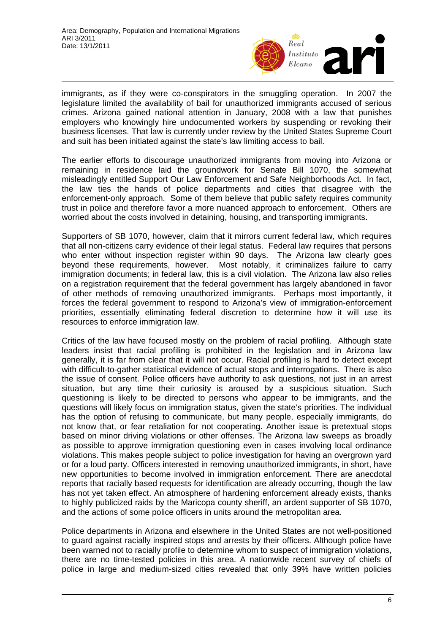

immigrants, as if they were co-conspirators in the smuggling operation. In 2007 the legislature limited the availability of bail for unauthorized immigrants accused of serious crimes. Arizona gained national attention in January, 2008 with a law that punishes employers who knowingly hire undocumented workers by suspending or revoking their business licenses. That law is currently under review by the United States Supreme Court and suit has been initiated against the state's law limiting access to bail.

The earlier efforts to discourage unauthorized immigrants from moving into Arizona or remaining in residence laid the groundwork for Senate Bill 1070, the somewhat misleadingly entitled Support Our Law Enforcement and Safe Neighborhoods Act. In fact, the law ties the hands of police departments and cities that disagree with the enforcement-only approach. Some of them believe that public safety requires community trust in police and therefore favor a more nuanced approach to enforcement. Others are worried about the costs involved in detaining, housing, and transporting immigrants.

Supporters of SB 1070, however, claim that it mirrors current federal law, which requires that all non-citizens carry evidence of their legal status. Federal law requires that persons who enter without inspection register within 90 days. The Arizona law clearly goes beyond these requirements, however. Most notably, it criminalizes failure to carry immigration documents; in federal law, this is a civil violation. The Arizona law also relies on a registration requirement that the federal government has largely abandoned in favor of other methods of removing unauthorized immigrants. Perhaps most importantly, it forces the federal government to respond to Arizona's view of immigration-enforcement priorities, essentially eliminating federal discretion to determine how it will use its resources to enforce immigration law.

Critics of the law have focused mostly on the problem of racial profiling. Although state leaders insist that racial profiling is prohibited in the legislation and in Arizona law generally, it is far from clear that it will not occur. Racial profiling is hard to detect except with difficult-to-gather statistical evidence of actual stops and interrogations. There is also the issue of consent. Police officers have authority to ask questions, not just in an arrest situation, but any time their curiosity is aroused by a suspicious situation. Such questioning is likely to be directed to persons who appear to be immigrants, and the questions will likely focus on immigration status, given the state's priorities. The individual has the option of refusing to communicate, but many people, especially immigrants, do not know that, or fear retaliation for not cooperating. Another issue is pretextual stops based on minor driving violations or other offenses. The Arizona law sweeps as broadly as possible to approve immigration questioning even in cases involving local ordinance violations. This makes people subject to police investigation for having an overgrown yard or for a loud party. Officers interested in removing unauthorized immigrants, in short, have new opportunities to become involved in immigration enforcement. There are anecdotal reports that racially based requests for identification are already occurring, though the law has not yet taken effect. An atmosphere of hardening enforcement already exists, thanks to highly publicized raids by the Maricopa county sheriff, an ardent supporter of SB 1070, and the actions of some police officers in units around the metropolitan area.

Police departments in Arizona and elsewhere in the United States are not well-positioned to guard against racially inspired stops and arrests by their officers. Although police have been warned not to racially profile to determine whom to suspect of immigration violations, there are no time-tested policies in this area. A nationwide recent survey of chiefs of police in large and medium-sized cities revealed that only 39% have written policies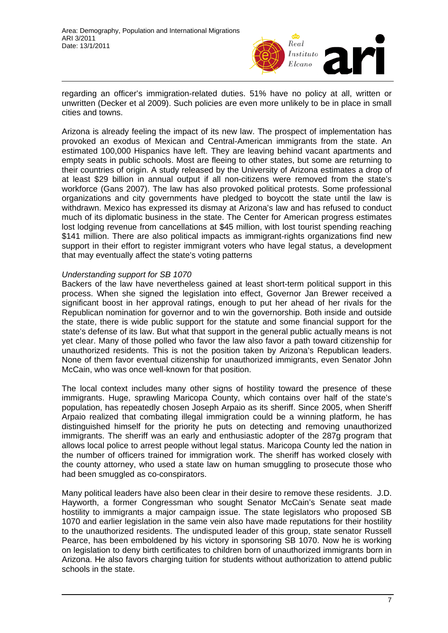

regarding an officer's immigration-related duties. 51% have no policy at all, written or unwritten (Decker et al 2009). Such policies are even more unlikely to be in place in small cities and towns.

Arizona is already feeling the impact of its new law. The prospect of implementation has provoked an exodus of Mexican and Central-American immigrants from the state. An estimated 100,000 Hispanics have left. They are leaving behind vacant apartments and empty seats in public schools. Most are fleeing to other states, but some are returning to their countries of origin. A study released by the University of Arizona estimates a drop of at least \$29 billion in annual output if all non-citizens were removed from the state's workforce (Gans 2007). The law has also provoked political protests. Some professional organizations and city governments have pledged to boycott the state until the law is withdrawn. Mexico has expressed its dismay at Arizona's law and has refused to conduct much of its diplomatic business in the state. The Center for American progress estimates lost lodging revenue from cancellations at \$45 million, with lost tourist spending reaching \$141 million. There are also political impacts as immigrant-rights organizations find new support in their effort to register immigrant voters who have legal status, a development that may eventually affect the state's voting patterns

### *Understanding support for SB 1070*

Backers of the law have nevertheless gained at least short-term political support in this process. When she signed the legislation into effect, Governor Jan Brewer received a significant boost in her approval ratings, enough to put her ahead of her rivals for the Republican nomination for governor and to win the governorship. Both inside and outside the state, there is wide public support for the statute and some financial support for the state's defense of its law. But what that support in the general public actually means is not yet clear. Many of those polled who favor the law also favor a path toward citizenship for unauthorized residents. This is not the position taken by Arizona's Republican leaders. None of them favor eventual citizenship for unauthorized immigrants, even Senator John McCain, who was once well-known for that position.

The local context includes many other signs of hostility toward the presence of these immigrants. Huge, sprawling Maricopa County, which contains over half of the state's population, has repeatedly chosen Joseph Arpaio as its sheriff. Since 2005, when Sheriff Arpaio realized that combating illegal immigration could be a winning platform, he has distinguished himself for the priority he puts on detecting and removing unauthorized immigrants. The sheriff was an early and enthusiastic adopter of the 287g program that allows local police to arrest people without legal status. Maricopa County led the nation in the number of officers trained for immigration work. The sheriff has worked closely with the county attorney, who used a state law on human smuggling to prosecute those who had been smuggled as co-conspirators.

Many political leaders have also been clear in their desire to remove these residents. J.D. Hayworth, a former Congressman who sought Senator McCain's Senate seat made hostility to immigrants a major campaign issue. The state legislators who proposed SB 1070 and earlier legislation in the same vein also have made reputations for their hostility to the unauthorized residents. The undisputed leader of this group, state senator Russell Pearce, has been emboldened by his victory in sponsoring SB 1070. Now he is working on legislation to deny birth certificates to children born of unauthorized immigrants born in Arizona. He also favors charging tuition for students without authorization to attend public schools in the state.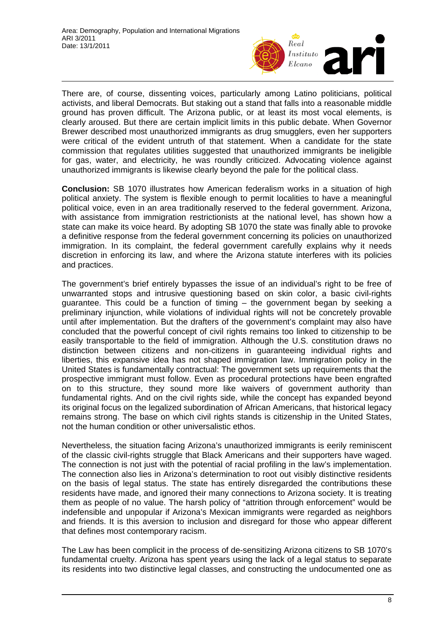

There are, of course, dissenting voices, particularly among Latino politicians, political activists, and liberal Democrats. But staking out a stand that falls into a reasonable middle ground has proven difficult. The Arizona public, or at least its most vocal elements, is clearly aroused. But there are certain implicit limits in this public debate. When Governor Brewer described most unauthorized immigrants as drug smugglers, even her supporters were critical of the evident untruth of that statement. When a candidate for the state commission that regulates utilities suggested that unauthorized immigrants be ineligible for gas, water, and electricity, he was roundly criticized. Advocating violence against unauthorized immigrants is likewise clearly beyond the pale for the political class.

**Conclusion:** SB 1070 illustrates how American federalism works in a situation of high political anxiety. The system is flexible enough to permit localities to have a meaningful political voice, even in an area traditionally reserved to the federal government. Arizona, with assistance from immigration restrictionists at the national level, has shown how a state can make its voice heard. By adopting SB 1070 the state was finally able to provoke a definitive response from the federal government concerning its policies on unauthorized immigration. In its complaint, the federal government carefully explains why it needs discretion in enforcing its law, and where the Arizona statute interferes with its policies and practices.

The government's brief entirely bypasses the issue of an individual's right to be free of unwarranted stops and intrusive questioning based on skin color, a basic civil-rights guarantee. This could be a function of timing – the government began by seeking a preliminary injunction, while violations of individual rights will not be concretely provable until after implementation. But the drafters of the government's complaint may also have concluded that the powerful concept of civil rights remains too linked to citizenship to be easily transportable to the field of immigration. Although the U.S. constitution draws no distinction between citizens and non-citizens in guaranteeing individual rights and liberties, this expansive idea has not shaped immigration law. Immigration policy in the United States is fundamentally contractual: The government sets up requirements that the prospective immigrant must follow. Even as procedural protections have been engrafted on to this structure, they sound more like waivers of government authority than fundamental rights. And on the civil rights side, while the concept has expanded beyond its original focus on the legalized subordination of African Americans, that historical legacy remains strong. The base on which civil rights stands is citizenship in the United States, not the human condition or other universalistic ethos.

Nevertheless, the situation facing Arizona's unauthorized immigrants is eerily reminiscent of the classic civil-rights struggle that Black Americans and their supporters have waged. The connection is not just with the potential of racial profiling in the law's implementation. The connection also lies in Arizona's determination to root out visibly distinctive residents on the basis of legal status. The state has entirely disregarded the contributions these residents have made, and ignored their many connections to Arizona society. It is treating them as people of no value. The harsh policy of "attrition through enforcement" would be indefensible and unpopular if Arizona's Mexican immigrants were regarded as neighbors and friends. It is this aversion to inclusion and disregard for those who appear different that defines most contemporary racism.

The Law has been complicit in the process of de-sensitizing Arizona citizens to SB 1070's fundamental cruelty. Arizona has spent years using the lack of a legal status to separate its residents into two distinctive legal classes, and constructing the undocumented one as